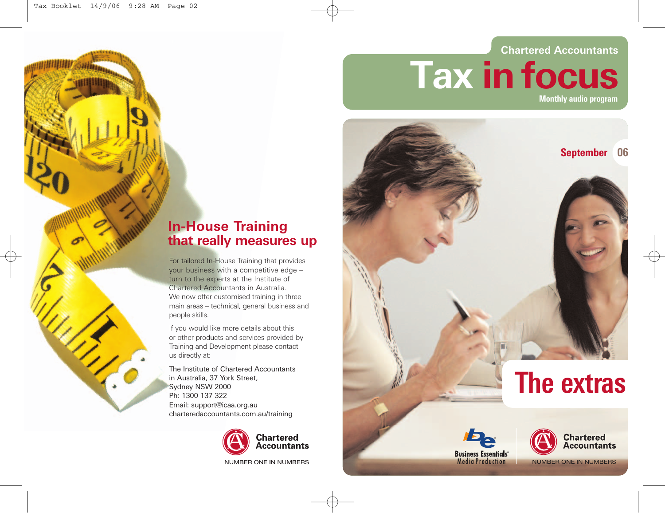# **Chartered Accountants Tax in focus Monthly audio program**



**Business Essentials**<sup>®</sup> **Media Production** 

**Chartered Accountants** 

**NUMBER ONE IN NUMBERS** 

# **In-House Training that really measures up**

For tailored In-House Training that provides your business with a competitive edge – turn to the experts at the Institute of Chartered Accountants in Australia. We now offer customised training in three main areas – technical, general business and people skills.

If you would like more details about this or other products and services provided by Training and Development please contact us directly at:

The Institute of Chartered Accountants in Australia, 37 York Street, Sydney NSW 2000 Ph: 1300 137 322 Email: support@icaa.org.au charteredaccountants.com.au/training



NUMBER ONE IN NUMBERS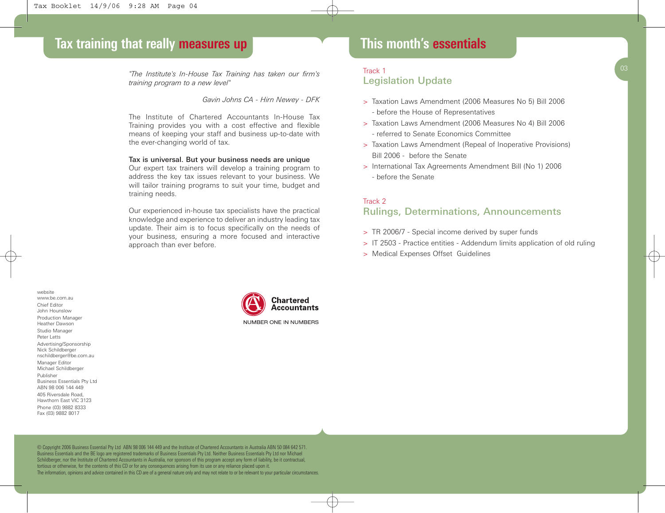*"The Institute's In-House Tax Training has taken our firm's training program to a new level"*

*Gavin Johns CA - Hirn Newey - DFK*

The Institute of Chartered Accountants In-House Tax Training provides you with a cost effective and flexible means of keeping your staff and business up-to-date with the ever-changing world of tax.

#### Tax is universal. But your business needs are unique

Our expert tax trainers will develop a training program to address the key tax issues relevant to your business. We will tailor training programs to suit your time, budget and training needs.

Our experienced in-house tax specialists have the practical knowledge and experience to deliver an industry leading tax update. Their aim is to focus specifically on the needs of your business, ensuring a more focused and interactive approach than ever before.

## **This month's essentials**

## **This month's essentials** Track 1 Legislation Update

- > Taxation Laws Amendment (2006 Measures No 5) Bill 2006 - before the House of Representatives
- > Taxation Laws Amendment (2006 Measures No 4) Bill 2006 - referred to Senate Economics Committee
- > Taxation Laws Amendment (Repeal of Inoperative Provisions) Bill 2006 - before the Senate
- > International Tax Agreements Amendment Bill (No 1) 2006 - before the Senate

## Track 2 Rulings, Determinations, Announcements

- > TR 2006/7 Special income derived by super funds
- > IT 2503 Practice entities Addendum limits application of old ruling
- > Medical Expenses Offset Guidelines

website www.be.com.au Chief Editor John Hounslow Production Manager Heather Dawson Studio Manager Peter Letts Advertising/Sponsorship Nick Schildberger nschildberger@be.com.au Manager Editor Michael Schildberger Publisher Business Essentials Pty Ltd ABN 98 006 144 449 405 Riversdale Road, Hawthorn East VIC 3123 Phone (03) 9882 8333 Fax (03) 9882 8017



NUMBER ONE IN NUMBERS

© Copyright 2006 Business Essential Pty Ltd ABN 98 006 144 449 and the Institute of Chartered Accountants in Australia ABN 50 084 642 571. Business Essentials and the BE logo are registered trademarks of Business Essentials Pty Ltd. Neither Business Essentials Pty Ltd nor Michael Schildberger, nor the Institute of Chartered Accountants in Australia, nor sponsors of this program accept any form of liability, be it contractual, tortious or otherwise, for the contents of this CD or for any consequences arising from its use or any reliance placed upon it. The information, opinions and advice contained in this CD are of a general nature only and may not relate to or be relevant to your particular circumstances.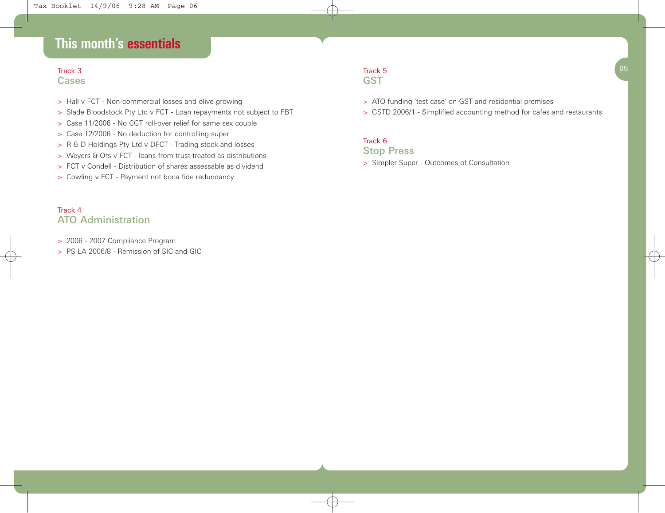# **This month's essentials**

## Track 3  $3<sup>05</sup>$ Cases

- > Hall v FCT Non-commercial losses and olive growing
- > Slade Bloodstock Pty Ltd v FCT Loan repayments not subject to FBT
- > Case 11/2006 No CGT roll-over relief for same sex couple
- > Case 12/2006 No deduction for controlling super
- > R & D Holdings Pty Ltd v DFCT Trading stock and losses
- > Weyers & Ors v FCT loans from trust treated as distributions
- > FCT v Condell Distribution of shares assessable as dividend
- > Cowling v FCT Payment not bona fide redundancy

## Track 4 ATO Administration

- > 2006 2007 Compliance Program
- > PS LA 2006/8 Remission of SIC and GIC

#### Track 5 **GST**

- > ATO funding 'test case' on GST and residential premises
- > GSTD 2006/1 Simplified accounting method for cafes and restaurants

## Track 6

## Stop Press

> Simpler Super - Outcomes of Consultation